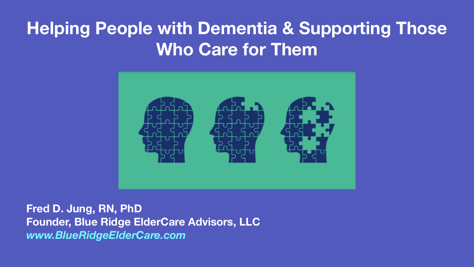**Fred D. Jung, RN, PhD Founder, Blue Ridge ElderCare Advisors, LLC**  *www.BlueRidgeElderCare.com*



## **Helping People with Dementia & Supporting Those Who Care for Them**

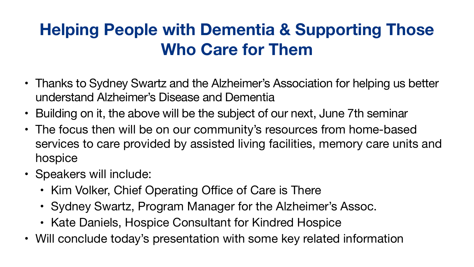#### **Helping People with Dementia & Supporting Those Who Care for Them**

- Thanks to Sydney Swartz and the Alzheimer's Association for helping us better understand Alzheimer's Disease and Dementia
- Building on it, the above will be the subject of our next, June 7th seminar
- The focus then will be on our community's resources from home-based services to care provided by assisted living facilities, memory care units and hospice
- Speakers will include:
	-
	-
	-
- Kim Volker, Chief Operating Office of Care is There • Sydney Swartz, Program Manager for the Alzheimer's Assoc. • Kate Daniels, Hospice Consultant for Kindred Hospice • Will conclude today's presentation with some key related information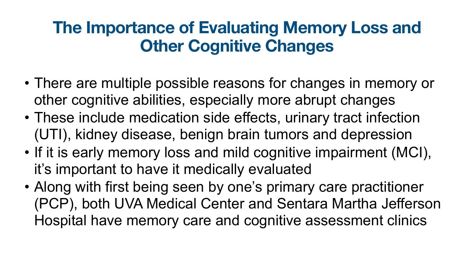#### **The Importance of Evaluating Memory Loss and Other Cognitive Changes**

- There are multiple possible reasons for changes in memory or other cognitive abilities, especially more abrupt changes
- These include medication side effects, urinary tract infection (UTI), kidney disease, benign brain tumors and depression
- If it is early memory loss and mild cognitive impairment (MCI), it's important to have it medically evaluated
- Along with first being seen by one's primary care practitioner (PCP), both UVA Medical Center and Sentara Martha Jefferson Hospital have memory care and cognitive assessment clinics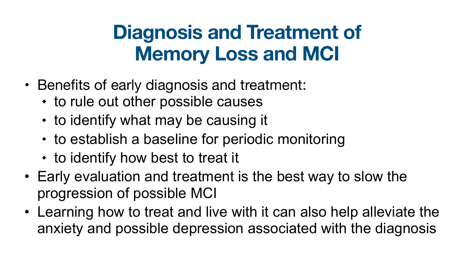# **Diagnosis and Treatment of Memory Loss and MCI**

- Benefits of early diagnosis and treatment:
	- to rule out other possible causes
	- to identify what may be causing it
	- to establish a baseline for periodic monitoring
	- to identify how best to treat it
- Early evaluation and treatment is the best way to slow the progression of possible MCI
- Learning how to treat and live with it can also help alleviate the anxiety and possible depression associated with the diagnosis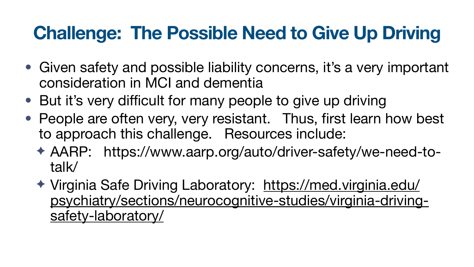# **Challenge: The Possible Need to Give Up Driving**

- Given safety and possible liability concerns, it's a very important consideration in MCI and dementia
- But it's very difficult for many people to give up driving
- People are often very, very resistant. Thus, first learn how best to approach this challenge. Resources include:
	- ✦ AARP: https://www.aarp.org/auto/driver-safety/we-need-totalk/
	- ✦ Virginia Safe Driving Laboratory: [https://med.virginia.edu/](https://med.virginia.edu/psychiatry/sections/neurocognitive-studies/virginia-driving-safety-laboratory/) [psychiatry/sections/neurocognitive-studies/virginia-driving](https://med.virginia.edu/psychiatry/sections/neurocognitive-studies/virginia-driving-safety-laboratory/)[safety-laboratory/](https://med.virginia.edu/psychiatry/sections/neurocognitive-studies/virginia-driving-safety-laboratory/)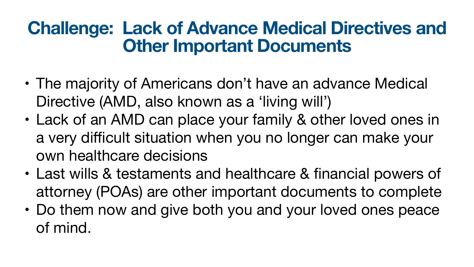### **Challenge: Lack of Advance Medical Directives and Other Important Documents**

- The majority of Americans don't have an advance Medical Directive (AMD, also known as a 'living will') • Lack of an AMD can place your family & other loved ones in a very difficult situation when you no longer can make your
- own healthcare decisions
- Last wills & testaments and healthcare & financial powers of attorney (POAs) are other important documents to complete • Do them now and give both you and your loved ones peace
- of mind.